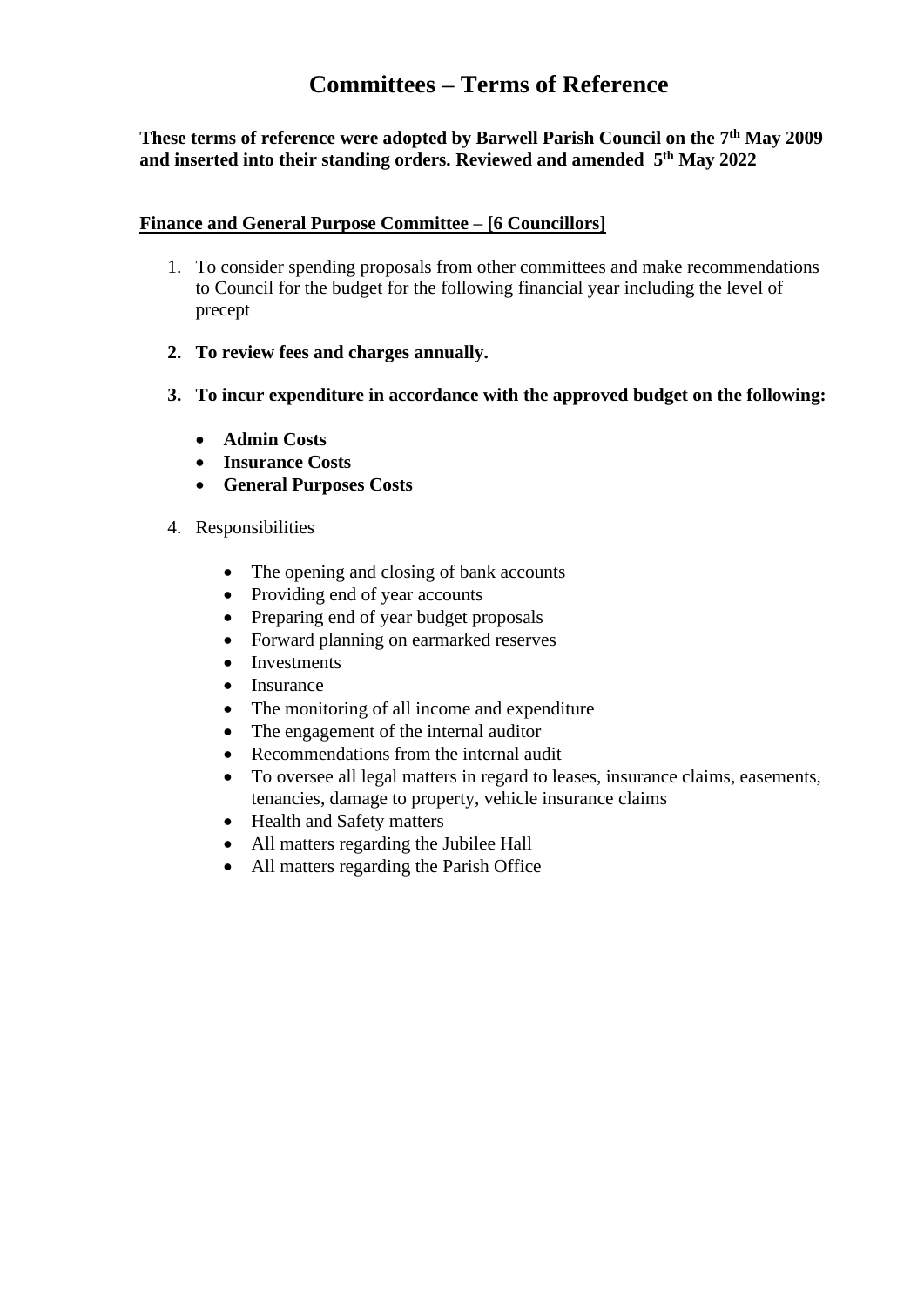# **Committees – Terms of Reference**

## **These terms of reference were adopted by Barwell Parish Council on the 7 th May 2009 and inserted into their standing orders. Reviewed and amended 5 th May 2022**

#### **Finance and General Purpose Committee – [6 Councillors]**

- 1. To consider spending proposals from other committees and make recommendations to Council for the budget for the following financial year including the level of precept
- **2. To review fees and charges annually.**
- **3. To incur expenditure in accordance with the approved budget on the following:**
	- **Admin Costs**
	- **Insurance Costs**
	- **General Purposes Costs**
- 4. Responsibilities
	- The opening and closing of bank accounts
	- Providing end of year accounts
	- Preparing end of year budget proposals
	- Forward planning on earmarked reserves
	- Investments
	- Insurance
	- The monitoring of all income and expenditure
	- The engagement of the internal auditor
	- Recommendations from the internal audit
	- To oversee all legal matters in regard to leases, insurance claims, easements, tenancies, damage to property, vehicle insurance claims
	- Health and Safety matters
	- All matters regarding the Jubilee Hall
	- All matters regarding the Parish Office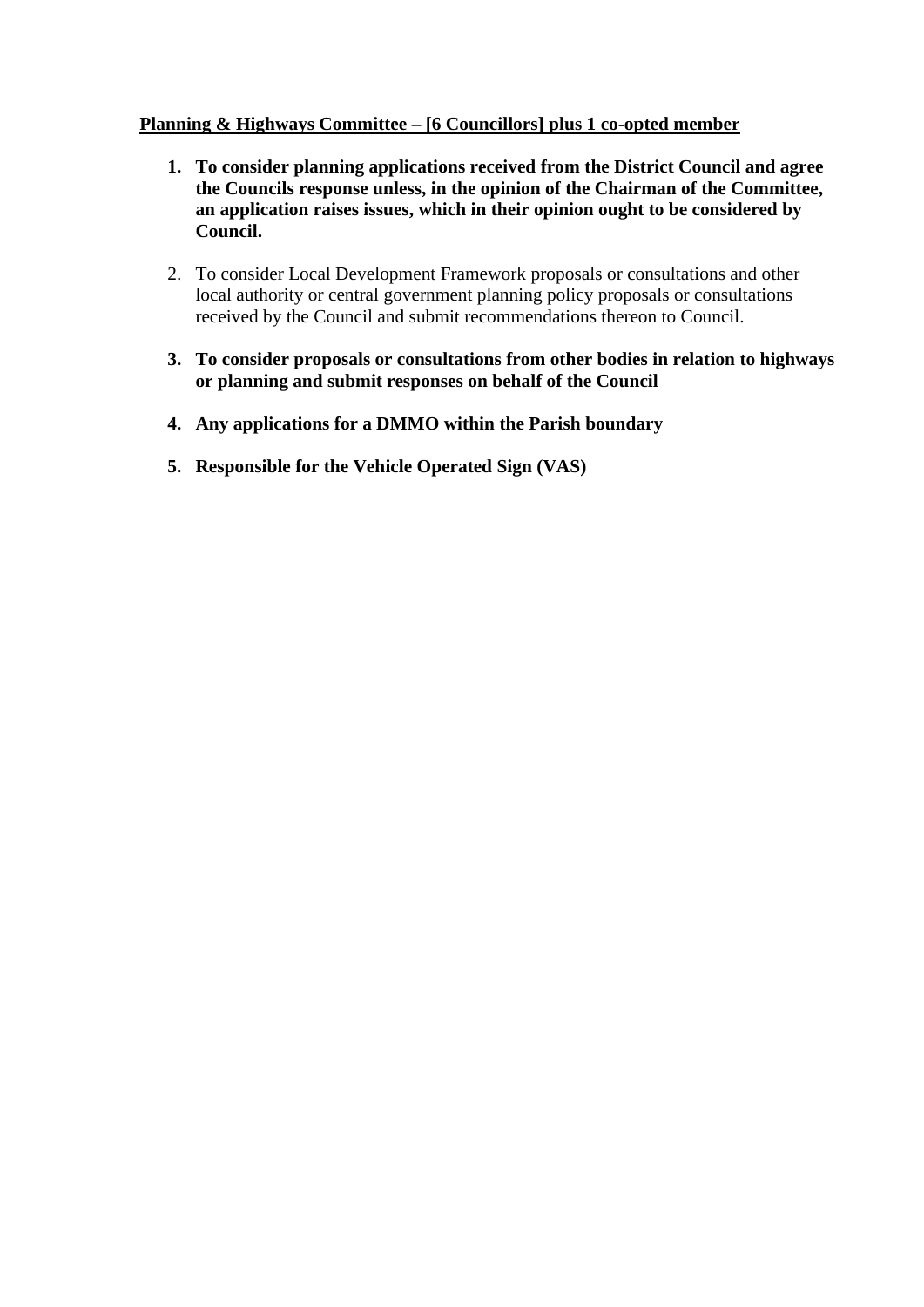### **Planning & Highways Committee – [6 Councillors] plus 1 co-opted member**

- **1. To consider planning applications received from the District Council and agree the Councils response unless, in the opinion of the Chairman of the Committee, an application raises issues, which in their opinion ought to be considered by Council.**
- 2. To consider Local Development Framework proposals or consultations and other local authority or central government planning policy proposals or consultations received by the Council and submit recommendations thereon to Council.
- **3. To consider proposals or consultations from other bodies in relation to highways or planning and submit responses on behalf of the Council**
- **4. Any applications for a DMMO within the Parish boundary**
- **5. Responsible for the Vehicle Operated Sign (VAS)**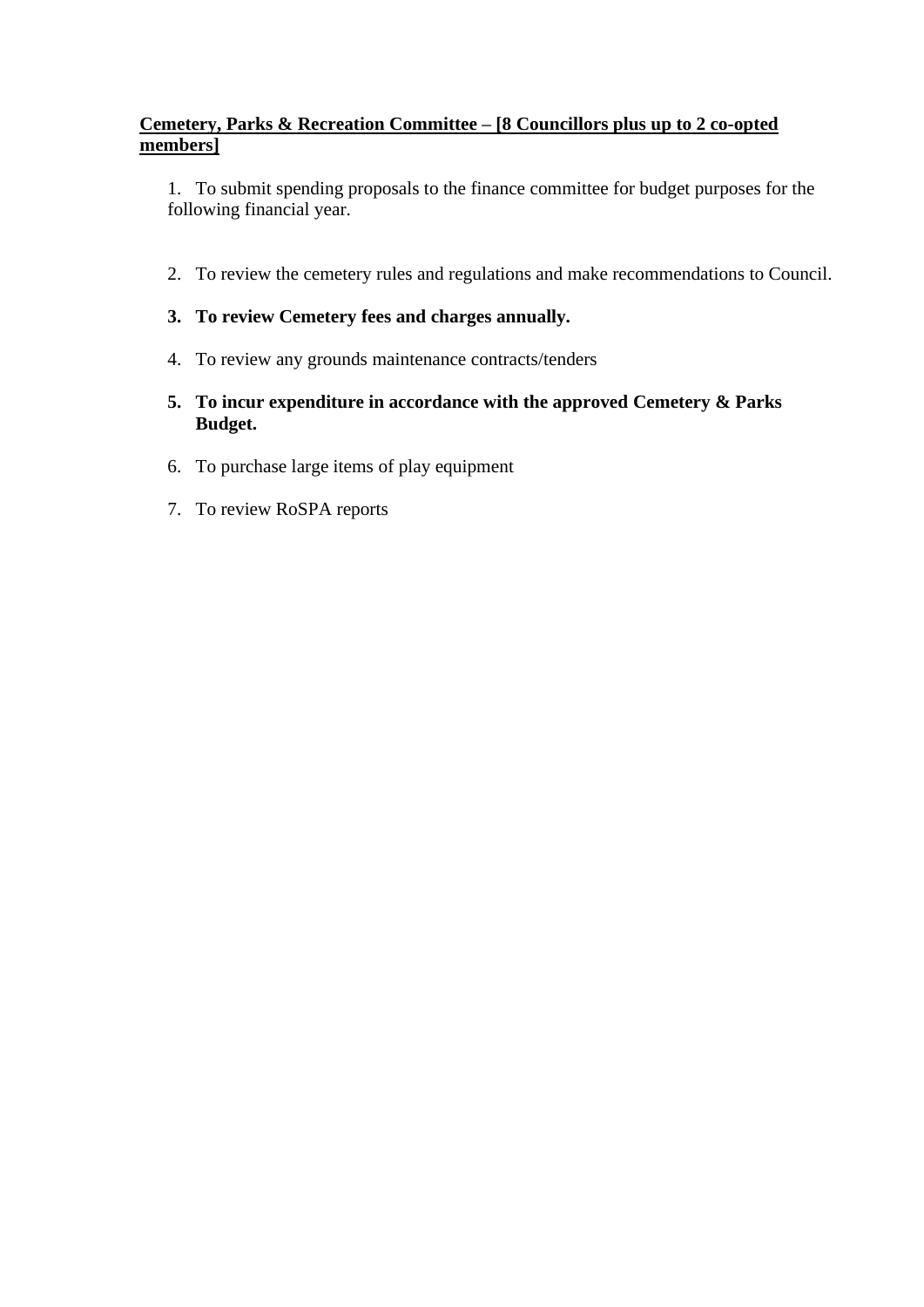## **Cemetery, Parks & Recreation Committee – [8 Councillors plus up to 2 co-opted members]**

1. To submit spending proposals to the finance committee for budget purposes for the following financial year.

2. To review the cemetery rules and regulations and make recommendations to Council.

## **3. To review Cemetery fees and charges annually.**

- 4. To review any grounds maintenance contracts/tenders
- **5. To incur expenditure in accordance with the approved Cemetery & Parks Budget.**
- 6. To purchase large items of play equipment
- 7. To review RoSPA reports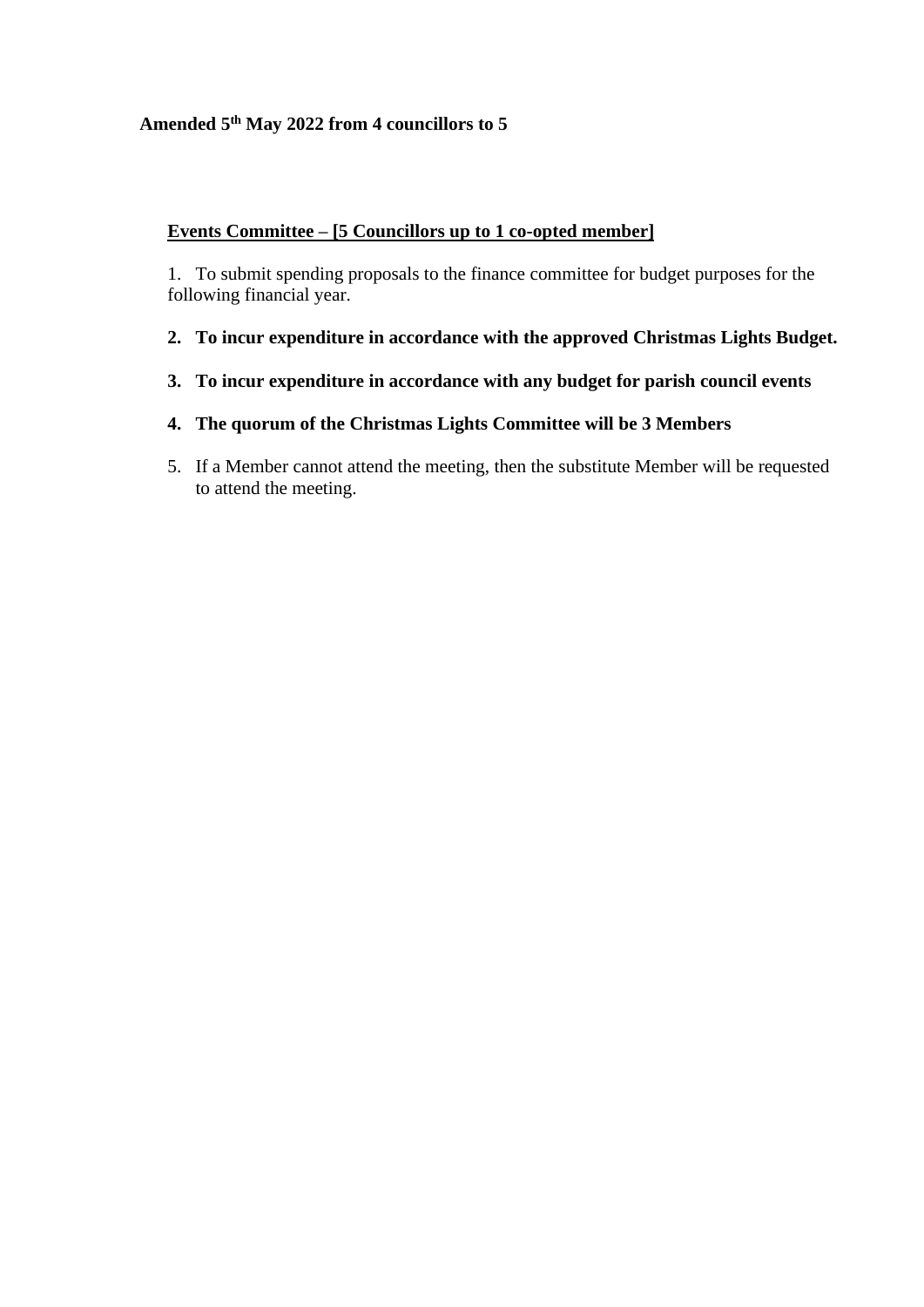## **Amended 5 th May 2022 from 4 councillors to 5**

# **Events Committee – [5 Councillors up to 1 co-opted member]**

1. To submit spending proposals to the finance committee for budget purposes for the following financial year.

- **2. To incur expenditure in accordance with the approved Christmas Lights Budget.**
- **3. To incur expenditure in accordance with any budget for parish council events**
- **4. The quorum of the Christmas Lights Committee will be 3 Members**
- 5. If a Member cannot attend the meeting, then the substitute Member will be requested to attend the meeting.